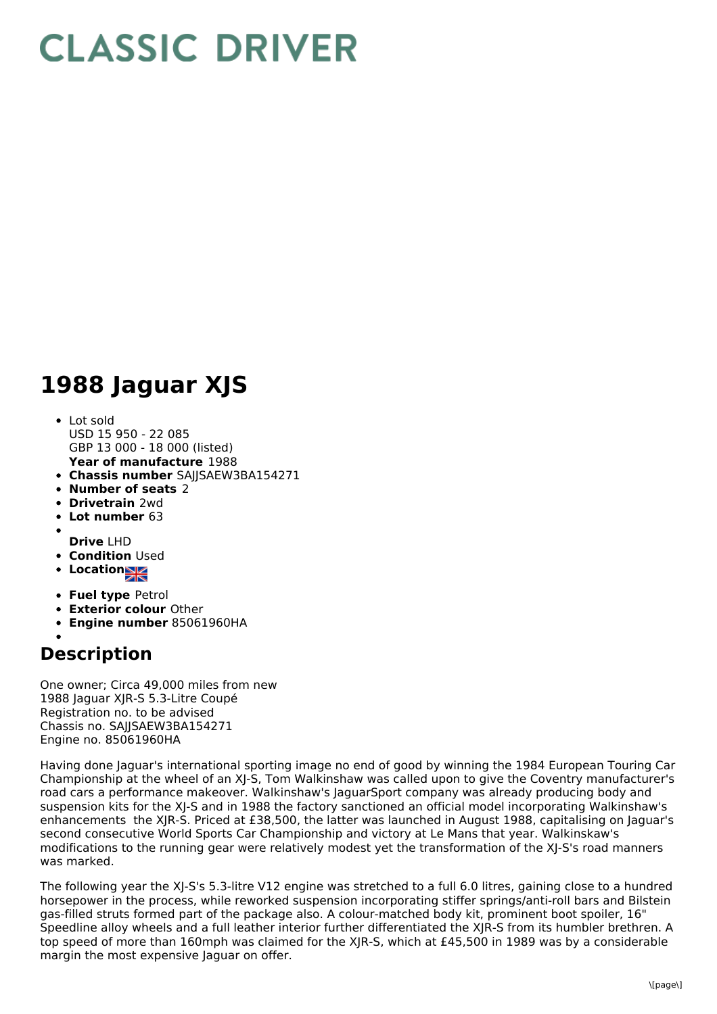## **CLASSIC DRIVER**

## **1988 Jaguar XJS**

- **Year of manufacture** 1988 Lot sold USD 15 950 - 22 085 GBP 13 000 - 18 000 (listed)
- **Chassis number** SAJJSAEW3BA154271
- **Number of seats** 2
- **Drivetrain** 2wd
- **Lot number** 63
- 
- **Drive** LHD
- **Condition Used**
- **Locations**
- **Fuel type** Petrol
- **Exterior colour** Other
- **Engine number** 85061960HA

## **Description**

One owner; Circa 49,000 miles from new 1988 Jaguar XJR-S 5.3-Litre Coupé Registration no. to be advised Chassis no. SAJJSAEW3BA154271 Engine no. 85061960HA

Having done Jaguar's international sporting image no end of good by winning the 1984 European Touring Car Championship at the wheel of an XJ-S, Tom Walkinshaw was called upon to give the Coventry manufacturer's road cars a performance makeover. Walkinshaw's JaguarSport company was already producing body and suspension kits for the XJ-S and in 1988 the factory sanctioned an official model incorporating Walkinshaw's enhancements the XJR-S. Priced at £38,500, the latter was launched in August 1988, capitalising on Jaguar's second consecutive World Sports Car Championship and victory at Le Mans that year. Walkinskaw's modifications to the running gear were relatively modest yet the transformation of the XJ-S's road manners was marked.

The following year the XJ-S's 5.3-litre V12 engine was stretched to a full 6.0 litres, gaining close to a hundred horsepower in the process, while reworked suspension incorporating stiffer springs/anti-roll bars and Bilstein gas-filled struts formed part of the package also. A colour-matched body kit, prominent boot spoiler, 16" Speedline alloy wheels and a full leather interior further differentiated the XJR-S from its humbler brethren. A top speed of more than 160mph was claimed for the XJR-S, which at £45,500 in 1989 was by a considerable margin the most expensive Jaguar on offer.